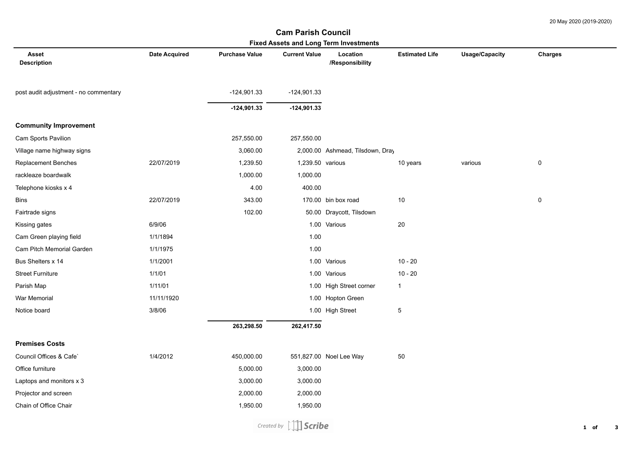## **Asset Description Date Acquired Purchase Value Current Value Location /Responsibility Estimated Life Usage/Capacity Charges Fixed Assets and Long Term Investments Cam Parish Council**  post audit adjustment - no commentary -124,901.33 -124,901.33 **-124,901.33 -124,901.33 Community Improvement** Cam Sports Pavilion 257,550.00 257,550.00 Village name highway signs The State of Text 2,000.00 2,000.00 2,000.00 Ashmead, Tilsdown, Dray Replacement Benches 22/07/2019 1.239.50 1.239.50 various 1.239.50 various various various various 0 rackleaze boardwalk and the control of the control of the control of the control of the control of the control of the control of the control of the control of the control of the control of the control of the control of the Telephone kiosks x 4 400.00 400.00 400.00 400.00 400.00 400.00 400.00 400.00 400.00 400.00 400.00 400.00 400.00 400.00 400.00 400.00 400.00 400.00 400.00 400.00 400.00 400.00 400.00 400.00 400.00 400.00 400.00 400.00 400.0 Bins 22/07/2019 343.00 170.00 bin box road 10 0 Fairtrade signs 102.00 50.00 Draycott, Tilsdown Kissing gates 6/9/06 1.00 Various 20 Cam Green playing field 1/1/1894 1.00 Cam Pitch Memorial Garden 1/1/1975 1.00 Bus Shelters x 14 10 - 20 11/2001 1.00 Various 10 - 20 1.00 Various 10 - 20 Street Furniture 10 - 20 1/1/01 1.11/01 1.11/01 1.100 Various 10 - 20 1.00 Various 10 - 20 Parish Map **1/11/01** 1/11/01 1.00 High Street corner 1 War Memorial **11/11/1920** 11/11/1920 1.00 Hopton Green Notice board and the state of the state of 3/8/06 1.00 High Street 5 and 5 and 5 and 5 and 5 and 5 and 5 and 5 and 5 and 5 and 5 and 5 and 5 and 5 and 5 and 5 and 5 and 5 and 5 and 5 and 5 and 5 and 5 and 5 and 5 and 5 and  **263,298.50 262,417.50 Premises Costs** Council Offices & Cafe` 1/4/2012 450,000.00 551,827.00 Noel Lee Way 50 Office furniture 5,000.00 3,000.00 Laptops and monitors x 3 3,000.00 3,000.00 3,000.00 3,000.00 Projector and screen 2,000.00 2,000.00 2,000.00 2,000.00 Chain of Office Chair **1,950.00** 1,950.00 1,950.00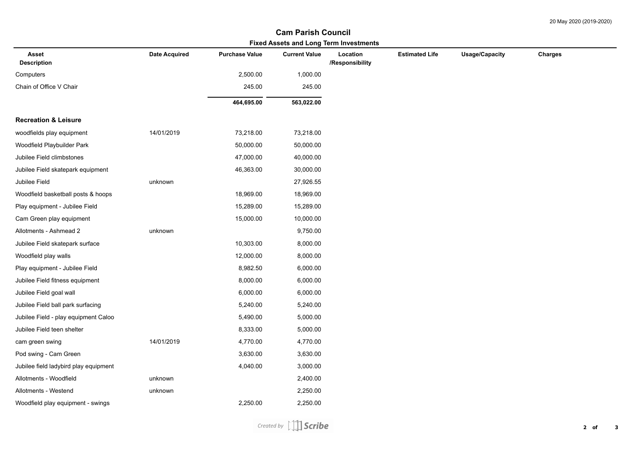## **Fixed Assets and Long Term Investments Cam Parish Council**

| Fixed Assets and Long Term Investments |                      |                       |                      |                             |                       |                       |         |  |  |  |  |
|----------------------------------------|----------------------|-----------------------|----------------------|-----------------------------|-----------------------|-----------------------|---------|--|--|--|--|
| Asset<br><b>Description</b>            | <b>Date Acquired</b> | <b>Purchase Value</b> | <b>Current Value</b> | Location<br>/Responsibility | <b>Estimated Life</b> | <b>Usage/Capacity</b> | Charges |  |  |  |  |
| Computers                              |                      | 2,500.00              | 1,000.00             |                             |                       |                       |         |  |  |  |  |
| Chain of Office V Chair                |                      | 245.00                | 245.00               |                             |                       |                       |         |  |  |  |  |
|                                        |                      | 464,695.00            | 563,022.00           |                             |                       |                       |         |  |  |  |  |
| <b>Recreation &amp; Leisure</b>        |                      |                       |                      |                             |                       |                       |         |  |  |  |  |
| woodfields play equipment              | 14/01/2019           | 73,218.00             | 73,218.00            |                             |                       |                       |         |  |  |  |  |
| Woodfield Playbuilder Park             |                      | 50,000.00             | 50,000.00            |                             |                       |                       |         |  |  |  |  |
| Jubilee Field climbstones              |                      | 47,000.00             | 40,000.00            |                             |                       |                       |         |  |  |  |  |
| Jubilee Field skatepark equipment      |                      | 46,363.00             | 30,000.00            |                             |                       |                       |         |  |  |  |  |
| Jubilee Field                          | unknown              |                       | 27,926.55            |                             |                       |                       |         |  |  |  |  |
| Woodfield basketball posts & hoops     |                      | 18,969.00             | 18,969.00            |                             |                       |                       |         |  |  |  |  |
| Play equipment - Jubilee Field         |                      | 15,289.00             | 15,289.00            |                             |                       |                       |         |  |  |  |  |
| Cam Green play equipment               |                      | 15,000.00             | 10,000.00            |                             |                       |                       |         |  |  |  |  |
| Allotments - Ashmead 2                 | unknown              |                       | 9,750.00             |                             |                       |                       |         |  |  |  |  |
| Jubilee Field skatepark surface        |                      | 10,303.00             | 8,000.00             |                             |                       |                       |         |  |  |  |  |
| Woodfield play walls                   |                      | 12,000.00             | 8,000.00             |                             |                       |                       |         |  |  |  |  |
| Play equipment - Jubilee Field         |                      | 8,982.50              | 6,000.00             |                             |                       |                       |         |  |  |  |  |
| Jubilee Field fitness equipment        |                      | 8,000.00              | 6,000.00             |                             |                       |                       |         |  |  |  |  |
| Jubilee Field goal wall                |                      | 6,000.00              | 6,000.00             |                             |                       |                       |         |  |  |  |  |
| Jubilee Field ball park surfacing      |                      | 5,240.00              | 5,240.00             |                             |                       |                       |         |  |  |  |  |
| Jubilee Field - play equipment Caloo   |                      | 5,490.00              | 5,000.00             |                             |                       |                       |         |  |  |  |  |
| Jubilee Field teen shelter             |                      | 8,333.00              | 5,000.00             |                             |                       |                       |         |  |  |  |  |
| cam green swing                        | 14/01/2019           | 4,770.00              | 4,770.00             |                             |                       |                       |         |  |  |  |  |
| Pod swing - Cam Green                  |                      | 3,630.00              | 3,630.00             |                             |                       |                       |         |  |  |  |  |
| Jubilee field ladybird play equipment  |                      | 4,040.00              | 3,000.00             |                             |                       |                       |         |  |  |  |  |
| Allotments - Woodfield                 | unknown              |                       | 2,400.00             |                             |                       |                       |         |  |  |  |  |
| Allotments - Westend                   | unknown              |                       | 2,250.00             |                             |                       |                       |         |  |  |  |  |
| Woodfield play equipment - swings      |                      | 2,250.00              | 2,250.00             |                             |                       |                       |         |  |  |  |  |